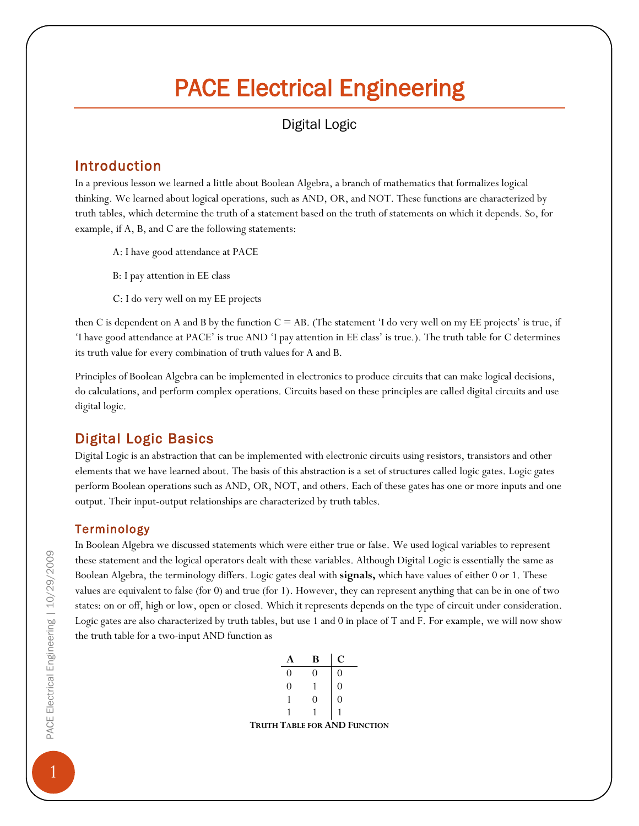# PACE Electrical Engineering

# Digital Logic

## Introduction

In a previous lesson we learned a little about Boolean Algebra, a branch of mathematics that formalizes logical thinking. We learned about logical operations, such as AND, OR, and NOT. These functions are characterized by truth tables, which determine the truth of a statement based on the truth of statements on which it depends. So, for example, if A, B, and C are the following statements:

- A: I have good attendance at PACE
- B: I pay attention in EE class
- C: I do very well on my EE projects

then C is dependent on A and B by the function  $C = AB$ . (The statement 'I do very well on my EE projects' is true, if 'I have good attendance at PACE' is true AND 'I pay attention in EE class' is true.). The truth table for C determines its truth value for every combination of truth values for A and B.

Principles of Boolean Algebra can be implemented in electronics to produce circuits that can make logical decisions, do calculations, and perform complex operations. Circuits based on these principles are called digital circuits and use digital logic.

# Digital Logic Basics

Digital Logic is an abstraction that can be implemented with electronic circuits using resistors, transistors and other elements that we have learned about. The basis of this abstraction is a set of structures called logic gates. Logic gates perform Boolean operations such as AND, OR, NOT, and others. Each of these gates has one or more inputs and one output. Their input-output relationships are characterized by truth tables.

### Terminology

In Boolean Algebra we discussed statements which were either true or false. We used logical variables to represent these statement and the logical operators dealt with these variables. Although Digital Logic is essentially the same as Boolean Algebra, the terminology differs. Logic gates deal with **signals,** which have values of either 0 or 1. These values are equivalent to false (for 0) and true (for 1). However, they can represent anything that can be in one of two states: on or off, high or low, open or closed. Which it represents depends on the type of circuit under consideration. Logic gates are also characterized by truth tables, but use 1 and 0 in place of T and F. For example, we will now show the truth table for a two-input AND function as

|  | R |                                     |
|--|---|-------------------------------------|
|  |   |                                     |
|  |   |                                     |
|  |   |                                     |
|  |   |                                     |
|  |   | <b>TRUTH TABLE FOR AND FUNCTION</b> |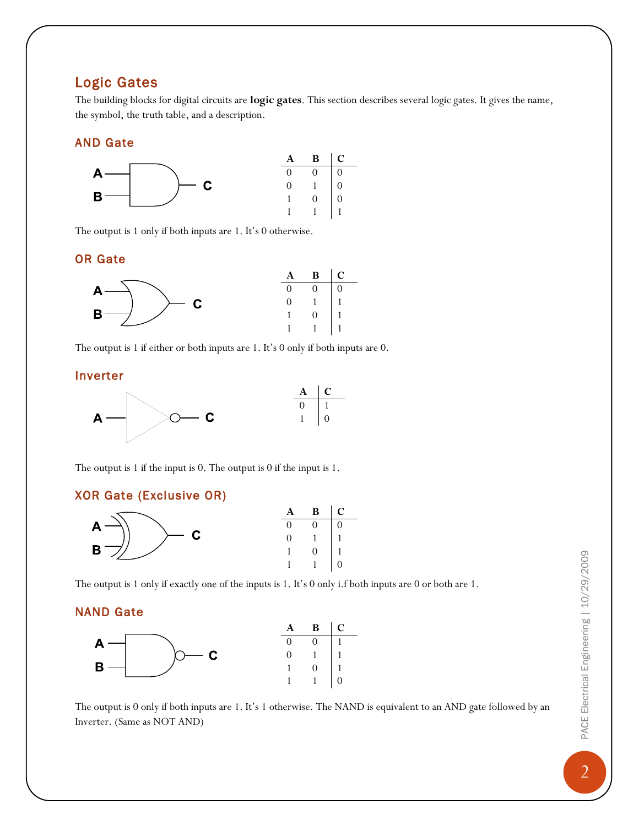## Logic Gates

The building blocks for digital circuits are **logic gates**. This section describes several logic gates. It gives the name, the symbol, the truth table, and a description.

#### AND Gate



The output is 1 only if both inputs are 1. It's 0 otherwise.

#### OR Gate



The output is 1 if either or both inputs are 1. It's 0 only if both inputs are 0.

#### Inverter



The output is 1 if the input is 0. The output is 0 if the input is 1.

#### XOR Gate (Exclusive OR)



The output is 1 only if exactly one of the inputs is 1. It's 0 only i.f both inputs are 0 or both are 1.

#### NAND Gate



The output is 0 only if both inputs are 1. It's 1 otherwise. The NAND is equivalent to an AND gate followed by an Inverter. (Same as NOT AND)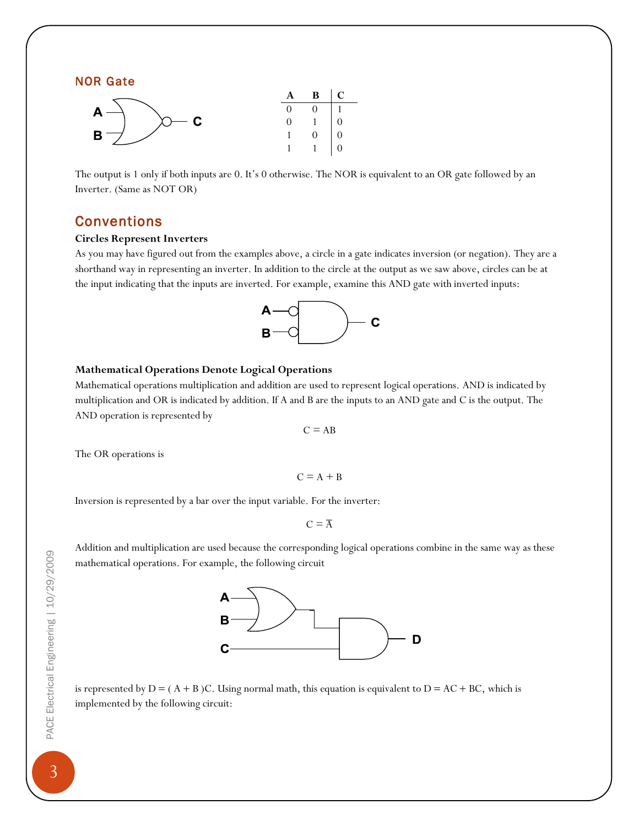#### NOR Gate

|                 | $\mathbf{A}$ | $\mathbf{B}$   C                                                  |  |
|-----------------|--------------|-------------------------------------------------------------------|--|
|                 | $\Omega$     | $\begin{array}{c c} 0 & 1 \\ 1 & 0 \\ 0 & 0 \\ 1 & 0 \end{array}$ |  |
| $\sim$ $\alpha$ | $\Omega$     |                                                                   |  |
|                 |              |                                                                   |  |
|                 |              |                                                                   |  |

The output is 1 only if both inputs are 0. It's 0 otherwise. The NOR is equivalent to an OR gate followed by an Inverter. (Same as NOT OR)

#### Conventions

#### **Circles Represent Inverters**

As you may have figured out from the examples above, a circle in a gate indicates inversion (or negation). They are a shorthand way in representing an inverter. In addition to the circle at the output as we saw above, circles can be at the input indicating that the inputs are inverted. For example, examine this AND gate with inverted inputs:



#### **Mathematical Operations Denote Logical Operations**

Mathematical operations multiplication and addition are used to represent logical operations. AND is indicated by multiplication and OR is indicated by addition. If A and B are the inputs to an AND gate and C is the output. The AND operation is represented by

 $C = AB$ 

The OR operations is

$$
C = A + B
$$

Inversion is represented by a bar over the input variable. For the inverter:

 $C = \overline{A}$ 

Addition and multiplication are used because the corresponding logical operations combine in the same way as these mathematical operations. For example, the following circuit



is represented by  $D = (A + B)C$ . Using normal math, this equation is equivalent to  $D = AC + BC$ , which is implemented by the following circuit: